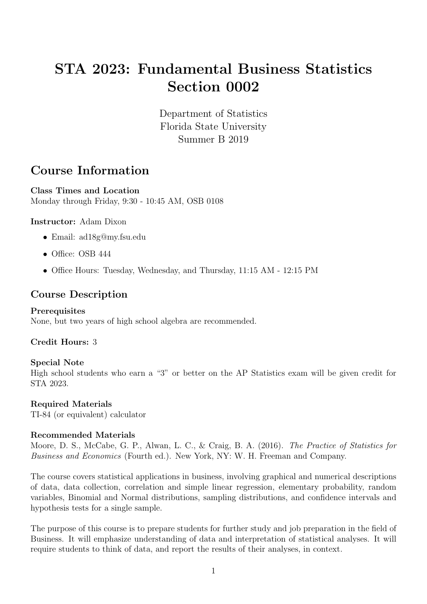# STA 2023: Fundamental Business Statistics Section 0002

Department of Statistics Florida State University Summer B 2019

## Course Information

Class Times and Location Monday through Friday, 9:30 - 10:45 AM, OSB 0108

### Instructor: Adam Dixon

- Email: ad18g@my.fsu.edu
- Office: OSB 444
- Office Hours: Tuesday, Wednesday, and Thursday, 11:15 AM 12:15 PM

### Course Description

### Prerequisites

None, but two years of high school algebra are recommended.

### Credit Hours: 3

### Special Note

High school students who earn a "3" or better on the AP Statistics exam will be given credit for STA 2023.

### Required Materials

TI-84 (or equivalent) calculator

### Recommended Materials

Moore, D. S., McCabe, G. P., Alwan, L. C., & Craig, B. A. (2016). The Practice of Statistics for Business and Economics (Fourth ed.). New York, NY: W. H. Freeman and Company.

The course covers statistical applications in business, involving graphical and numerical descriptions of data, data collection, correlation and simple linear regression, elementary probability, random variables, Binomial and Normal distributions, sampling distributions, and confidence intervals and hypothesis tests for a single sample.

The purpose of this course is to prepare students for further study and job preparation in the field of Business. It will emphasize understanding of data and interpretation of statistical analyses. It will require students to think of data, and report the results of their analyses, in context.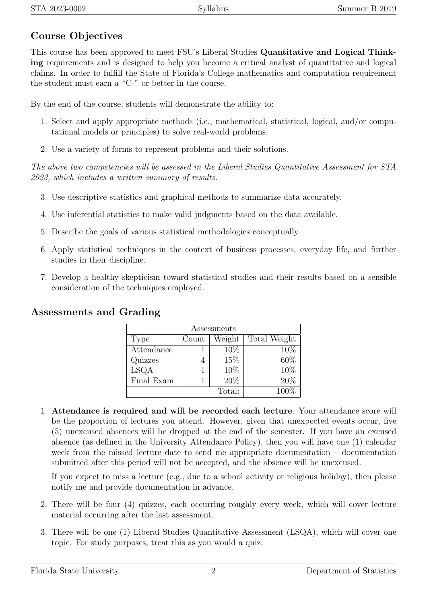## Course Objectives

This course has been approved to meet FSU's Liberal Studies Quantitative and Logical Thinking requirements and is designed to help you become a critical analyst of quantitative and logical claims. In order to fulfill the State of Florida's College mathematics and computation requirement the student must earn a "C-" or better in the course.

By the end of the course, students will demonstrate the ability to:

- 1. Select and apply appropriate methods (i.e., mathematical, statistical, logical, and/or computational models or principles) to solve real-world problems.
- 2. Use a variety of forms to represent problems and their solutions.

The above two competencies will be assessed in the Liberal Studies Quantitative Assessment for STA 2023, which includes a written summary of results.

- 3. Use descriptive statistics and graphical methods to summarize data accurately.
- 4. Use inferential statistics to make valid judgments based on the data available.
- 5. Describe the goals of various statistical methodologies conceptually.
- 6. Apply statistical techniques in the context of business processes, everyday life, and further studies in their discipline.
- 7. Develop a healthy skepticism toward statistical studies and their results based on a sensible consideration of the techniques employed.

## Assessments and Grading

| Assessments |       |        |              |  |  |  |
|-------------|-------|--------|--------------|--|--|--|
| Type        | Count | Weight | Total Weight |  |  |  |
| Attendance  |       | 10\%   | 10%          |  |  |  |
| Quizzes     |       | 15%    | 60%          |  |  |  |
| LSQA        |       | 10%    | 10%          |  |  |  |
| Final Exam  |       | 20%    | 20%          |  |  |  |
|             | 1በበ%  |        |              |  |  |  |

1. Attendance is required and will be recorded each lecture. Your attendance score will be the proportion of lectures you attend. However, given that unexpected events occur, five (5) unexcused absences will be dropped at the end of the semester. If you have an excused absence (as defined in the University Attendance Policy), then you will have one (1) calendar week from the missed lecture date to send me appropriate documentation – documentation submitted after this period will not be accepted, and the absence will be unexcused.

If you expect to miss a lecture (e.g., due to a school activity or religious holiday), then please notify me and provide documentation in advance.

- 2. There will be four (4) quizzes, each occurring roughly every week, which will cover lecture material occurring after the last assessment.
- 3. There will be one (1) Liberal Studies Quantitative Assessment (LSQA), which will cover one topic. For study purposes, treat this as you would a quiz.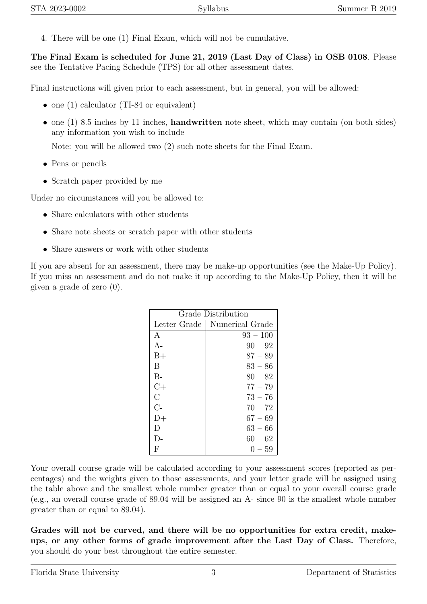4. There will be one (1) Final Exam, which will not be cumulative.

The Final Exam is scheduled for June 21, 2019 (Last Day of Class) in OSB 0108. Please see the Tentative Pacing Schedule (TPS) for all other assessment dates.

Final instructions will given prior to each assessment, but in general, you will be allowed:

- one (1) calculator (TI-84 or equivalent)
- one  $(1)$  8.5 inches by 11 inches, **handwritten** note sheet, which may contain (on both sides) any information you wish to include

Note: you will be allowed two (2) such note sheets for the Final Exam.

- Pens or pencils
- Scratch paper provided by me

Under no circumstances will you be allowed to:

- Share calculators with other students
- Share note sheets or scratch paper with other students
- Share answers or work with other students

If you are absent for an assessment, there may be make-up opportunities (see the Make-Up Policy). If you miss an assessment and do not make it up according to the Make-Up Policy, then it will be given a grade of zero (0).

| Grade Distribution |                                |  |  |  |
|--------------------|--------------------------------|--|--|--|
|                    | Letter Grade   Numerical Grade |  |  |  |
| A                  | $93 - 100$                     |  |  |  |
| $A-$               | $90 - 92$                      |  |  |  |
| $B+$               | $87 - 89$                      |  |  |  |
| В                  | $83 - 86$                      |  |  |  |
| $B -$              | $80 - 82$                      |  |  |  |
| $C+$               | $77 - 79$                      |  |  |  |
| $\rm C$            | $73 - 76$                      |  |  |  |
| $C-$               | $70 - 72$                      |  |  |  |
| $D+$               | $67 - 69$                      |  |  |  |
| Ð                  | $63 - 66$                      |  |  |  |
| $\mathsf{I}$       | $60 - 62$                      |  |  |  |
| F                  | $() - 59$                      |  |  |  |

Your overall course grade will be calculated according to your assessment scores (reported as percentages) and the weights given to those assessments, and your letter grade will be assigned using the table above and the smallest whole number greater than or equal to your overall course grade (e.g., an overall course grade of 89.04 will be assigned an A- since 90 is the smallest whole number greater than or equal to 89.04).

Grades will not be curved, and there will be no opportunities for extra credit, makeups, or any other forms of grade improvement after the Last Day of Class. Therefore, you should do your best throughout the entire semester.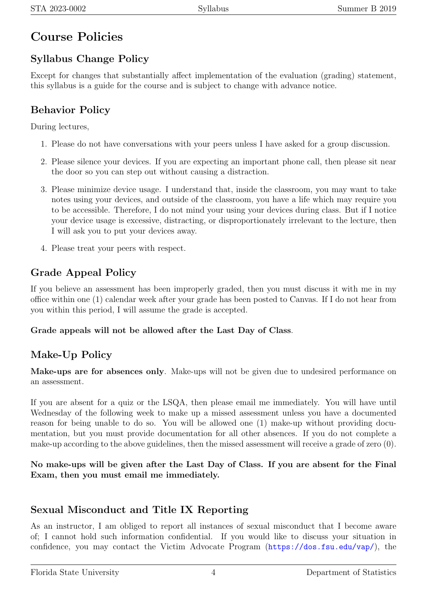# Course Policies

## Syllabus Change Policy

Except for changes that substantially affect implementation of the evaluation (grading) statement, this syllabus is a guide for the course and is subject to change with advance notice.

## Behavior Policy

During lectures,

- 1. Please do not have conversations with your peers unless I have asked for a group discussion.
- 2. Please silence your devices. If you are expecting an important phone call, then please sit near the door so you can step out without causing a distraction.
- 3. Please minimize device usage. I understand that, inside the classroom, you may want to take notes using your devices, and outside of the classroom, you have a life which may require you to be accessible. Therefore, I do not mind your using your devices during class. But if I notice your device usage is excessive, distracting, or disproportionately irrelevant to the lecture, then I will ask you to put your devices away.
- 4. Please treat your peers with respect.

## Grade Appeal Policy

If you believe an assessment has been improperly graded, then you must discuss it with me in my office within one (1) calendar week after your grade has been posted to Canvas. If I do not hear from you within this period, I will assume the grade is accepted.

### Grade appeals will not be allowed after the Last Day of Class.

## Make-Up Policy

Make-ups are for absences only. Make-ups will not be given due to undesired performance on an assessment.

If you are absent for a quiz or the LSQA, then please email me immediately. You will have until Wednesday of the following week to make up a missed assessment unless you have a documented reason for being unable to do so. You will be allowed one (1) make-up without providing documentation, but you must provide documentation for all other absences. If you do not complete a make-up according to the above guidelines, then the missed assessment will receive a grade of zero (0).

No make-ups will be given after the Last Day of Class. If you are absent for the Final Exam, then you must email me immediately.

## Sexual Misconduct and Title IX Reporting

As an instructor, I am obliged to report all instances of sexual misconduct that I become aware of; I cannot hold such information confidential. If you would like to discuss your situation in confidence, you may contact the Victim Advocate Program (<https://dos.fsu.edu/vap/>), the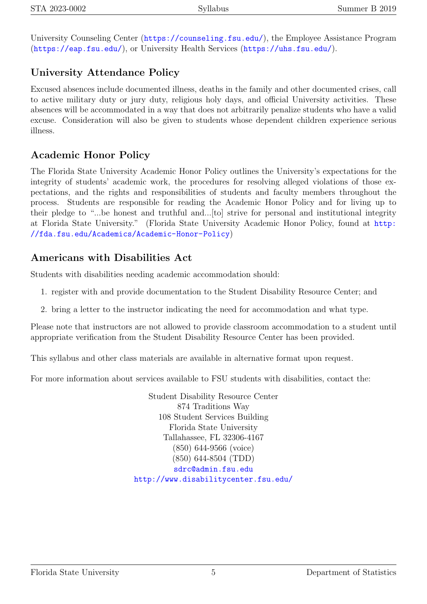University Counseling Center (<https://counseling.fsu.edu/>), the Employee Assistance Program (<https://eap.fsu.edu/>), or University Health Services (<https://uhs.fsu.edu/>).

## University Attendance Policy

Excused absences include documented illness, deaths in the family and other documented crises, call to active military duty or jury duty, religious holy days, and official University activities. These absences will be accommodated in a way that does not arbitrarily penalize students who have a valid excuse. Consideration will also be given to students whose dependent children experience serious illness.

## Academic Honor Policy

The Florida State University Academic Honor Policy outlines the University's expectations for the integrity of students' academic work, the procedures for resolving alleged violations of those expectations, and the rights and responsibilities of students and faculty members throughout the process. Students are responsible for reading the Academic Honor Policy and for living up to their pledge to "...be honest and truthful and...[to] strive for personal and institutional integrity at Florida State University." (Florida State University Academic Honor Policy, found at [http:](http://fda.fsu.edu/Academics/Academic-Honor-Policy) [//fda.fsu.edu/Academics/Academic-Honor-Policy](http://fda.fsu.edu/Academics/Academic-Honor-Policy))

## Americans with Disabilities Act

Students with disabilities needing academic accommodation should:

- 1. register with and provide documentation to the Student Disability Resource Center; and
- 2. bring a letter to the instructor indicating the need for accommodation and what type.

Please note that instructors are not allowed to provide classroom accommodation to a student until appropriate verification from the Student Disability Resource Center has been provided.

This syllabus and other class materials are available in alternative format upon request.

For more information about services available to FSU students with disabilities, contact the:

Student Disability Resource Center 874 Traditions Way 108 Student Services Building Florida State University Tallahassee, FL 32306-4167 (850) 644-9566 (voice) (850) 644-8504 (TDD) <sdrc@admin.fsu.edu> <http://www.disabilitycenter.fsu.edu/>